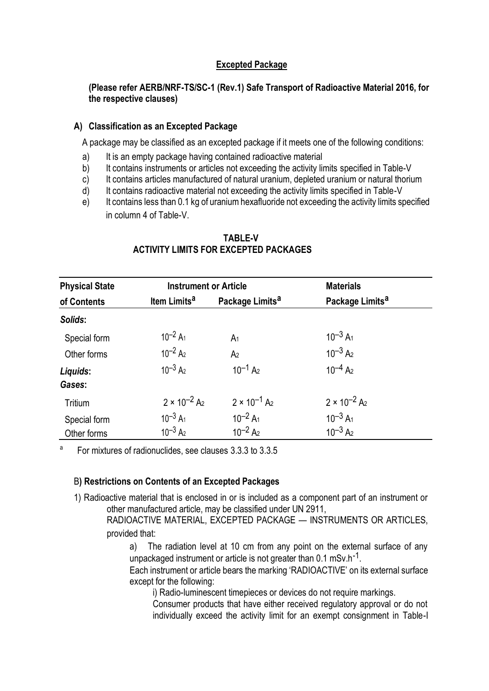## **Excepted Package**

### **(Please refer AERB/NRF-TS/SC-1 (Rev.1) [Safe Transport of Radioactive Material 2](http://www.aerb.gov.in/AERBPortal/pages/English/t/publications/CODESGUIDES/RF-TR-SC-1.pdf)016, for the respective clauses)**

#### **A) Classification as an Excepted Package**

A package may be classified as an excepted package if it meets one of the following conditions:

- a) It is an empty package having contained radioactive material
- b) It contains instruments or articles not exceeding the activity limits specified in Table-V
- c) It contains articles manufactured of natural uranium, depleted uranium or natural thorium
- d) It contains radioactive material not exceeding the activity limits specified in Table-V
- e) It contains less than 0.1 kg of uranium hexafluoride not exceeding the activity limits specified in column 4 of Table-V.

| <b>Physical State</b><br>of Contents | <b>Instrument or Article</b>      |                                   | <b>Materials</b>                  |  |
|--------------------------------------|-----------------------------------|-----------------------------------|-----------------------------------|--|
|                                      | Item Limits <sup>a</sup>          | Package Limits <sup>a</sup>       | Package Limits <sup>a</sup>       |  |
| Solids:                              |                                   |                                   |                                   |  |
| Special form                         | $10^{-2}$ A <sub>1</sub>          | A <sub>1</sub>                    | $10^{-3}$ A <sub>1</sub>          |  |
| Other forms                          | $10^{-2}$ A <sub>2</sub>          | A <sub>2</sub>                    | $10^{-3}$ A <sub>2</sub>          |  |
| Liquids:                             | $10^{-3}$ A <sub>2</sub>          | $10^{-1}$ A <sub>2</sub>          | $10^{-4}$ A <sub>2</sub>          |  |
| Gases:                               |                                   |                                   |                                   |  |
| Tritium                              | $2 \times 10^{-2}$ A <sub>2</sub> | $2 \times 10^{-1}$ A <sub>2</sub> | $2 \times 10^{-2}$ A <sub>2</sub> |  |
| Special form                         | $10^{-3}$ A <sub>1</sub>          | $10^{-2}$ A <sub>1</sub>          | $10^{-3}$ A <sub>1</sub>          |  |
| Other forms                          | $10^{-3}$ A <sub>2</sub>          | $10^{-2}$ A <sub>2</sub>          | $10^{-3}$ A <sub>2</sub>          |  |

#### **TABLE-V ACTIVITY LIMITS FOR EXCEPTED PACKAGES**

a For mixtures of radionuclides, see clauses 3.3.3 to 3.3.5

#### B**) Restrictions on Contents of an Excepted Packages**

1) Radioactive material that is enclosed in or is included as a component part of an instrument or other manufactured article, may be classified under UN 2911,

RADIOACTIVE MATERIAL, EXCEPTED PACKAGE — INSTRUMENTS OR ARTICLES, provided that:

a) The radiation level at 10 cm from any point on the external surface of any unpackaged instrument or article is not greater than  $0.1 \text{ mSv.h}^{-1}$ .

Each instrument or article bears the marking 'RADIOACTIVE' on its external surface except for the following:

i) Radio-luminescent timepieces or devices do not require markings.

Consumer products that have either received regulatory approval or do not individually exceed the activity limit for an exempt consignment in Table-I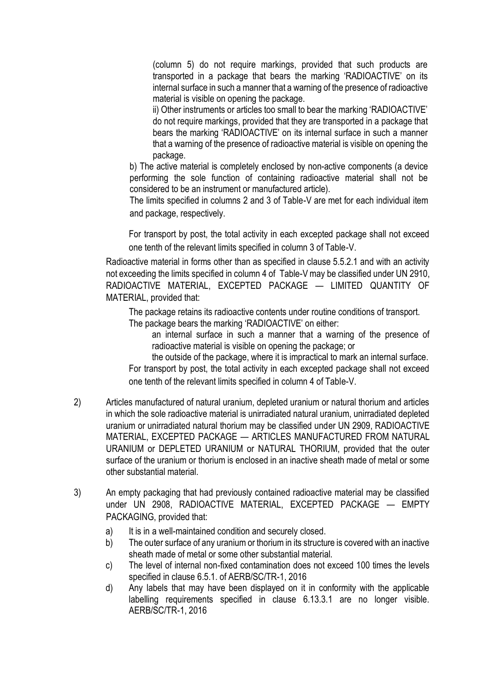(column 5) do not require markings, provided that such products are transported in a package that bears the marking 'RADIOACTIVE' on its internal surface in such a manner that a warning of the presence of radioactive material is visible on opening the package.

ii) Other instruments or articles too small to bear the marking 'RADIOACTIVE' do not require markings, provided that they are transported in a package that bears the marking 'RADIOACTIVE' on its internal surface in such a manner that a warning of the presence of radioactive material is visible on opening the package.

b) The active material is completely enclosed by non-active components (a device performing the sole function of containing radioactive material shall not be considered to be an instrument or manufactured article).

The limits specified in columns 2 and 3 of Table-V are met for each individual item and package, respectively.

For transport by post, the total activity in each excepted package shall not exceed one tenth of the relevant limits specified in column 3 of Table-V.

Radioactive material in forms other than as specified in clause 5.5.2.1 and with an activity not exceeding the limits specified in column 4 of Table-V may be classified under UN 2910, RADIOACTIVE MATERIAL, EXCEPTED PACKAGE — LIMITED QUANTITY OF MATERIAL, provided that:

The package retains its radioactive contents under routine conditions of transport.

The package bears the marking 'RADIOACTIVE' on either:

an internal surface in such a manner that a warning of the presence of radioactive material is visible on opening the package; or

the outside of the package, where it is impractical to mark an internal surface. For transport by post, the total activity in each excepted package shall not exceed one tenth of the relevant limits specified in column 4 of Table-V.

- 2) Articles manufactured of natural uranium, depleted uranium or natural thorium and articles in which the sole radioactive material is unirradiated natural uranium, unirradiated depleted uranium or unirradiated natural thorium may be classified under UN 2909, RADIOACTIVE MATERIAL, EXCEPTED PACKAGE — ARTICLES MANUFACTURED FROM NATURAL URANIUM or DEPLETED URANIUM or NATURAL THORIUM, provided that the outer surface of the uranium or thorium is enclosed in an inactive sheath made of metal or some other substantial material.
- 3) An empty packaging that had previously contained radioactive material may be classified under UN 2908, RADIOACTIVE MATERIAL, EXCEPTED PACKAGE — EMPTY PACKAGING, provided that:
	- a) It is in a well-maintained condition and securely closed.
	- b) The outer surface of any uranium or thorium in its structure is covered with an inactive sheath made of metal or some other substantial material.
	- c) The level of internal non-fixed contamination does not exceed 100 times the levels specified in clause 6.5.1. of AERB/SC/TR-1, 2016
	- d) Any labels that may have been displayed on it in conformity with the applicable labelling requirements specified in clause 6.13.3.1 are no longer visible. AERB/SC/TR-1, 2016